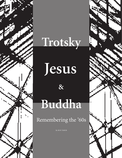## **Trotsky**

7

**Jesus**

**&**

## **Buddha**

Remembering the '60s

By RON TABOR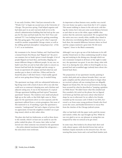It was early October, 1966. I had just returned to the "Windy City" to begin my second year at the University of Chicago. The previous spring, I had helped organize and had taken part in an anti-war/anti-draft sit-in in the school's administration building that had tied up the campus for five days and had made the *New York Times* and national TV. I was looking forward to getting something like that going again. This made up for what I expected would be another unspeakable Chicago winter, as well as the stifling spiritual atmosphere (smug hypocrisy) of the U of C as an institution.

My roommate to be, Stewart Nathan, and I had heard that a mutual friend, Pete Braun, had "flipped out" the previous summer, but we hadn't given it much thought. A lot of people flipped out back then, and besides, flipping out meant different things to different people. In any case, we hadn't seen Pete yet and we had other tasks to concern us. Stewart had had both the foresight and the energy to locate an apartment off-campus and had asked me and another guy to share it with him. (When and how he found the place I still don't know.) I had readily agreed and we were going about fixing it up. It needed fixing.

The apartment was large, with two substantial bedrooms, a big living room with a kind of alcove off to one side that could serve as someone's sleeping area, and a kitchen and adjacent eating area. It was in the basement of a typical Chicago apartment building and had typical "basement apartment" features. The windows were small and placed high up on the walls, so that little light came in. Water pipes for the apartments above us were exposed, and the apartment suffered from a certain grunginess. But none of this mattered to us. If anything, it gave the apartment a romantic, "underground" feel and a degree of privacy that we appreciated. At least the neighbors wouldn't see us getting stoned, which we did, rather often.

The place also had two bathrooms, as well as three doors to the outside, which I at least saw as useful in case the police raided the place. Of course, later (after we had moved out) when someone was arrested in the apartment —the police planted marijuana behind the refrigerator the extra doors were irrelevant.

As important as these features were, another was crucial. Our new home was quite a ways from the U of C campus. This meant trekking to classes in the sub-arctic cold during the winter, but it also put some social distance between us and what we saw as the white, upper middle-class enclave that the university represented. We recognized that the entire area was a mostly white, middle-class island in the otherwise overwhelming Black South Side, but to us back then, the nuantial difference between where we lived and the campus mattered a great deal. We felt more "organic," closer to the Black community.

Although I was to give up one of the bedrooms to let still another friend move in (thus condemning myself to sleeping and studying in the dining area, through which our new roommate tromped at all hours of the night to make tea), the apartment was great. It was also cheap, what with four of us sharing the rent, while we lived frugally on rice, ground beef and scrambled eggs (nobody knew about cholesterol back then).

The preparation of our apartment (mostly, painting it scarlet, dark pink and an almost lavender blue), was not quite complete and the school term about to begin when we received a phone call one evening from our allegedly flipped out friend, Pete. He was in jail downtown, having been arrested for what he described as "jumping capitalists on Wells Street." We didn't know what this entailed and Pete sounded a bit weird on the phone, but we figured we'd better go bail him and worry about what kind of shape he was in afterward. So we called a few friends, rounded up the necessary cash (I think it was \$50), borrowed a car from some young professor friends who lived across the court, and headed downtown to rescue Pete from the clutches of the Chicago judicial system.

After we had dealt with the paper work, paid the money and waited a while, the cops brought up Pete. While he was very glad to see us, our pleasure at seeing him was tempered by what we noticed as he got closer.

In some ways, Pete looked as he always had: short and wide, almost square, with shortish brown hair and an Emiliano Zapata mustache on his attractive face. He was wearing blue jeans, boots and a red and black lumber jack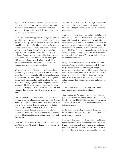et, all of which was almost a uniform with him. But his eyes were different. Brown and normally soft, alert and expressive, they were now bloodshot and didn't move around much. Mostly, he just looked straight ahead, turning his head to look at things.

While Pete's eyes were suggestive of a change in his mental state, his behavior was even more so. Under his right arm, perched on his hip, were ten or so small art books, almost pamphlets, consisting of vivid color prints of the works of various impressionist and post-impressionist painters, such as Monet, Renoir, Degas, Toulouse-Lautrec, Van Gogh, Matisse, Kandinsky, Picasso, etc. "Look at this!" he exclaimed, before even greeting us, while showing us one of the prints. "Isn't this beautiful?" Stewart and I agreed with him, as we looked at each other worriedly. This process continued as we made our way to the car. Pete, it was now apparent, had indeed flipped out.

We heard later that the "flipping out" had occurred the previous August, during a national SDS convention, held somewhere in the Midwest. Pete, his girlfriend, Kathy, and his best friend, Carl, had "tripped" (taken LSD) together, during which experience Pete had learned that Carl and Kathy were sleeping together. While Pete pretended to be successful with the ladies, he really wasn't, and the revelation that his best pal, Carl, had "stolen" his "girl" from him was more than he could bear. His acid trip never quite ended.

Now permanently high, Pete was in a good mood, chattering away as we drove back to our apartment, while Stewart and I tried to pretend, at least to Pete, that nothing was the matter. We had him sit down at the table in our dining room and gave him something to drink. While Pete sat there drinking and thinking whatever thoughts he was capable of, I pretended I needed to go to the bathroom so that I could get out of the room and exchange a few words with Stewart.

"He's crazy!" Stewart half whispered, half shouted in my ear. "Talk to him! Tell him he's flipped out and should get some help."

"No, YOU talk to him!" I insisted, although I was already accepting my fate. Stewart, assuring me that I was better at this kind of thing than he was, pushed me back into the dining room.

It was very hot in the apartment, and Pete and I had both taken off our shirts. We sat across from each other over the table, which was placed against one (pink) wall. I had already started to talk when I noticed Pete's well muscled arms and chest and a large kitchen knife that someone had inadvertently left on the table. With Stewart looking on from behind Pete (and halfway around the corner), I sat as calmly as I could and began to tell Pete that Stewart and I thought he had, well, kind of flipped out and, uh, thought he should see someone.

Saying this wasn't easy, since neither Stewart nor I had much confidence in psychiatry or psychoanalysis, which we generally considered to be techniques designed to ensure people's conformity to the ideology and behavioral norms of an evil and unjust social system. It also wasn't clear what Pete would do when he found out that two more of his friends had "turned on him," in this case telling him that they thought he was crazy and should see a shrink.

At first, Pete was silent. Then, starting slowly and softly and gradually gaining speed and volume....

(In a Black accent) "You don't even know who I am, do you, motherfucker? You don't even know who I am. Well, I'll tell you. I was TRAINED in the streets, motherfucker, TRAINED in the streets. And I can use both hands, karate, jujitsu, kung fu...."

At this point, Pete stood up and started doing karate chops on the wall and the table, then picked up the knife and started waving it around.

I was trying desperately to look unperturbed and to avoid doing or saying anything that might get Pete even more hyped up than he already was. I was also not letting my eyes move from the knife Pete had taken such a liking to. But out of the corner I my eye I did notice Stewart, still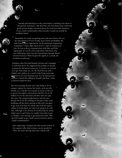watcing and listening in on the conversation, crouching a bit closer to the ground. At bottom, I felt that Pete, who had always been a kind and gentle person, deeply concerned about the racial and other injustices of our society (underneath a little bravado), would not actually do anything violent.

Meanwhile, his tirade was getting more and more bizarre. He was the reincarnation of Leon Trotsky, Jesus Christ and Buddha. He had formed a new organization, the Revolutionary Organizing Committee ("That's right, Rock, R.O.C!") that he wanted us to join. He was in direct communication with Mao and Fidel (apparently, he was on a first name basis with them), who were infiltrating cadres into the United States through Miami and San Francisco. When he gave the signal, in a month, the revolution would start.

Somehow, after Pete had finished, Stewart and I managed to calm him down. We suggested that perhaps we should continue the discussion tomorrow; it was late, we all needed to get some sleep, etc., etc. We fixed Pete up with a blanket and a pillow on a couch in the living room and retreated to our own sleeping areas. As I lay down on my mattress, I heard Pete talking to himself, and then a click, as Stewart locked his door.

The next morning, Stewart and I had things to do on campus (register for classes, buy books, catch up with friends, etc.), and this was as good an excuse as any not to pursue last night's conversation with Pete. So we all walked over to the university and then went our separate ways. The campus looked pretty, with the sun, already low in the sky, shining on the gray Gothic-style buildings and the leaves starting to fall, and I was glad to get away from Pete for awhile and avoid the responsibility of trying figure out what were going to do with him. Although it was obvious he needed help, he clearly didn't want it and I knew we couldn't force him to get it. Besides, I was starting to get pissed off at him. Who the hell needed to get a knife waved in his face and be called a motherfucker?

After registering, I bumped into Pete posted in front of the campus coffee shop trying to recruit people for ROC. He wasn't having much luck. And he still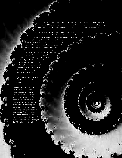refused to see a doctor. His flip, arrogant attitude increased my resentment even more and I basically decided to wash my hands of the whole situation. We had tried, he didn't want to get help, so what more could we do? (And fuck him, anyway.) Right?

I don't know where he spent the next few nights. Stewart and I hadn't kicked him out of our apartment, but we hadn't gone looking for him either. When we did run into him on campus, he was still doing his thing. Along with his other fantasies, he was particularly caught up with the idea that one of the guys active on the campus left, a big, good-looking, light-skinned Black fellow named Gerry Kirk, was an informant for the Chicago Red Squad. We knew, on principle, that the pigs had agents in the movement, but Gerry didn't fit the pattern. A nice guy with a friendly smile, Gerry never had much to say that had any political substance; he never acted like a leader and he never tried to incite violence or talked about guns. Mostly, he was just there.

"The guy's an agent, I'm telling you," Pete would say, shaking his head.

About a week after we had bailed him out and first heard about ROC, Stewart and I encountered Pete again. Our consciences getting the better of us, we tried once more to convince him to see a psychiatrist or something. To our surprise, Pete agreed, and with Gerry Kirk appearing from nowhere, we all set out across the campus and across Ellis Avenue to the university hospital to try to find someone who might be able to help our friend.